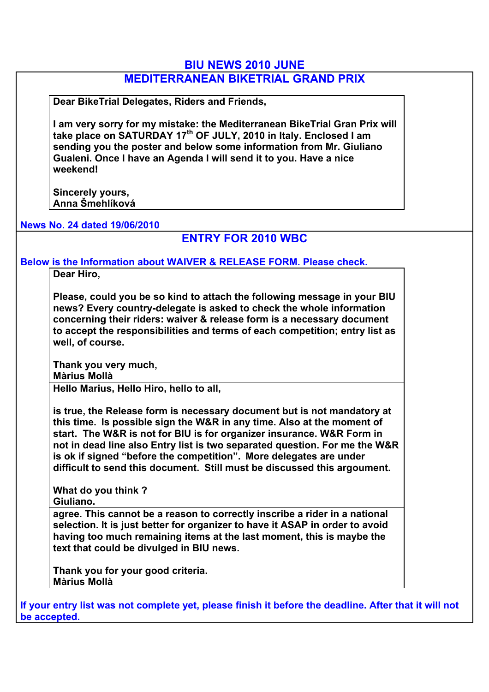#### **BIU NEWS 2010 JUNE**

# **MEDITERRANEAN BIKETRIAL GRAND PRIX**

**Dear BikeTrial Delegates, Riders and Friends,**

**I am very sorry for my mistake: the Mediterranean BikeTrial Gran Prix will take place on SATURDAY 17th OF JULY, 2010 in Italy. Enclosed I am sending you the poster and below some information from Mr. Giuliano Gualeni. Once I have an Agenda I will send it to you. Have a nice weekend!**

**Sincerely yours, Anna Šmehlíková** 

#### **News No. 24 dated 19/06/2010**

### **ENTRY FOR 2010 WBC**

**Below is the Information about WAIVER & RELEASE FORM. Please check.** 

**Dear Hiro,**

**Please, could you be so kind to attach the following message in your BIU news? Every country-delegate is asked to check the whole information concerning their riders: waiver & release form is a necessary document to accept the responsibilities and terms of each competition; entry list as well, of course.**

**Thank you very much, Màrius Mollà**

**Hello Marius, Hello Hiro, hello to all,**

**is true, the Release form is necessary document but is not mandatory at this time. Is possible sign the W&R in any time. Also at the moment of start. The W&R is not for BIU is for organizer insurance. W&R Form in not in dead line also Entry list is two separated question. For me the W&R is ok if signed "before the competition". More delegates are under difficult to send this document. Still must be discussed this argoument.**

**What do you think ? Giuliano.**

**agree. This cannot be a reason to correctly inscribe a rider in a national selection. It is just better for organizer to have it ASAP in order to avoid having too much remaining items at the last moment, this is maybe the text that could be divulged in BIU news.**

**Thank you for your good criteria. Màrius Mollà**

**If your entry list was not complete yet, please finish it before the deadline. After that it will not be accepted.**